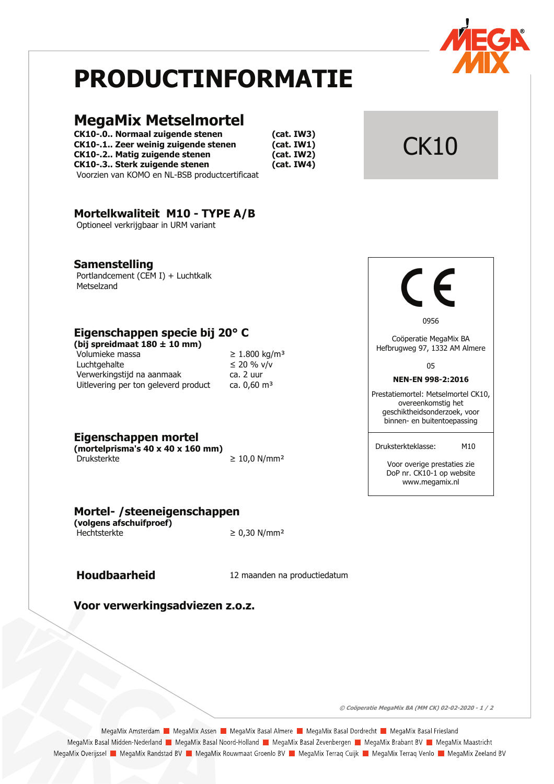

# **PRODUCTINFORMATIE**

# **MegaMix Metselmortel**

**CK10-.0.. Normaal zuigende stenen** CK10-.1.. Zeer weinig zuigende stenen **CK10-.2.. Matig zuigende stenen** CK10-.3.. Sterk zuigende stenen Voorzien van KOMO en NL-BSB productcertificaat

 $(cat. IW3)$  $(cat. IW1)$  $(cat. IW2)$  $(cat. IWA)$ 

# Mortelkwaliteit M10 - TYPE A/B

Optioneel verkrijgbaar in URM variant

## **Samenstelling**

Portlandcement (CEM I) + Luchtkalk Metselzand

# Eigenschappen specie bij 20° C

(bij spreidmaat  $180 \pm 10$  mm) Volumieke massa Luchtgehalte Verwerkingstijd na aanmaak Uitlevering per ton geleverd product

|  |           | ≥ 1.800 kg/m <sup>:</sup> |
|--|-----------|---------------------------|
|  |           | ≤ 20 % v/v                |
|  | ca. 2 uur |                           |
|  |           | ca. 0,60 m <sup>3</sup>   |

Eigenschappen mortel

(mortelprisma's  $40 \times 40 \times 160$  mm) Druksterkte

Mortel- / steeneigenschappen

(volgens afschuifproef) Hechtsterkte

 $\geq 0.30$  N/mm<sup>2</sup>

 $≥ 10,0 N/mm<sup>2</sup>$ 

# **Houdbaarheid**

12 maanden na productiedatum

Voor verwerkingsadviezen z.o.z.



**CK10** 

0956

Coöperatie MegaMix BA Hefbrugweg 97, 1332 AM Almere

05

### NEN-EN 998-2:2016

Prestatiemortel: Metselmortel CK10, overeenkomstig het geschiktheidsonderzoek, voor binnen- en buitentoepassing

Druksterkteklasse: M10

> Voor overige prestaties zie DoP nr. CK10-1 op website www.megamix.nl

© Coöperatie MegaMix BA (MM CK) 02-02-2020 - 1 / 2

MegaMix Amsterdam | MegaMix Assen | MegaMix Basal Almere | MegaMix Basal Dordrecht | MegaMix Basal Friesland MegaMix Basal Midden-Nederland | MegaMix Basal Noord-Holland | MegaMix Basal Zevenbergen | MegaMix Brabant BV | MegaMix Maastricht MegaMix Overijssel **Da** MegaMix Randstad BV **Da** MegaMix Rouwmaat Groenlo BV **Da** MegaMix Terraq Cuijk **Da** MegaMix Terraq Venlo **Da MegaMix Zeeland BV**